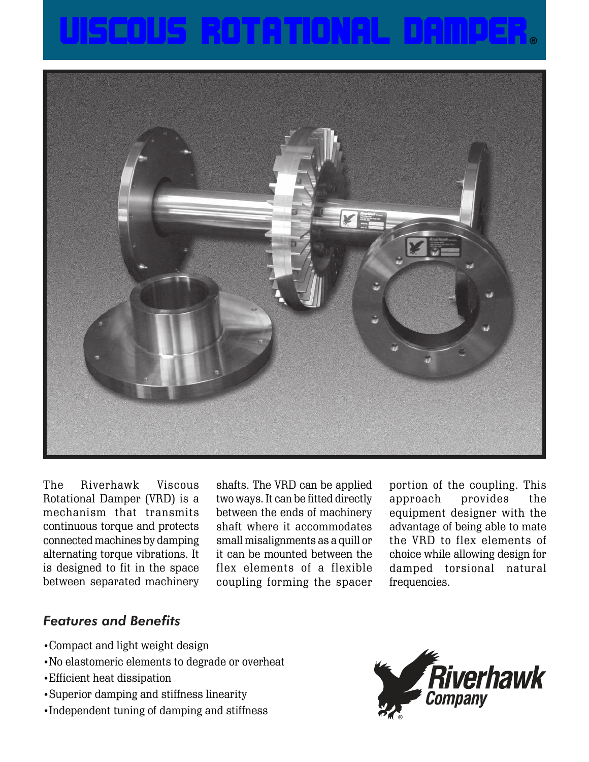



The Riverhawk Viscous Rotational Damper (VRD) is a mechanism that transmits continuous torque and protects connected machines by damping alternating torque vibrations. It is designed to fit in the space between separated machinery

shafts. The VRD can be applied two ways. It can be fitted directly between the ends of machinery shaft where it accommodates small misalignments as a quill or it can be mounted between the flex elements of a flexible coupling forming the spacer

portion of the coupling. This approach provides the equipment designer with the advantage of being able to mate the VRD to flex elements of choice while allowing design for damped torsional natural frequencies.

## *Features and Benefits*

- •Compact and light weight design
- •No elastomeric elements to degrade or overheat
- •Efficient heat dissipation
- •Superior damping and stiffness linearity
- •Independent tuning of damping and stiffness